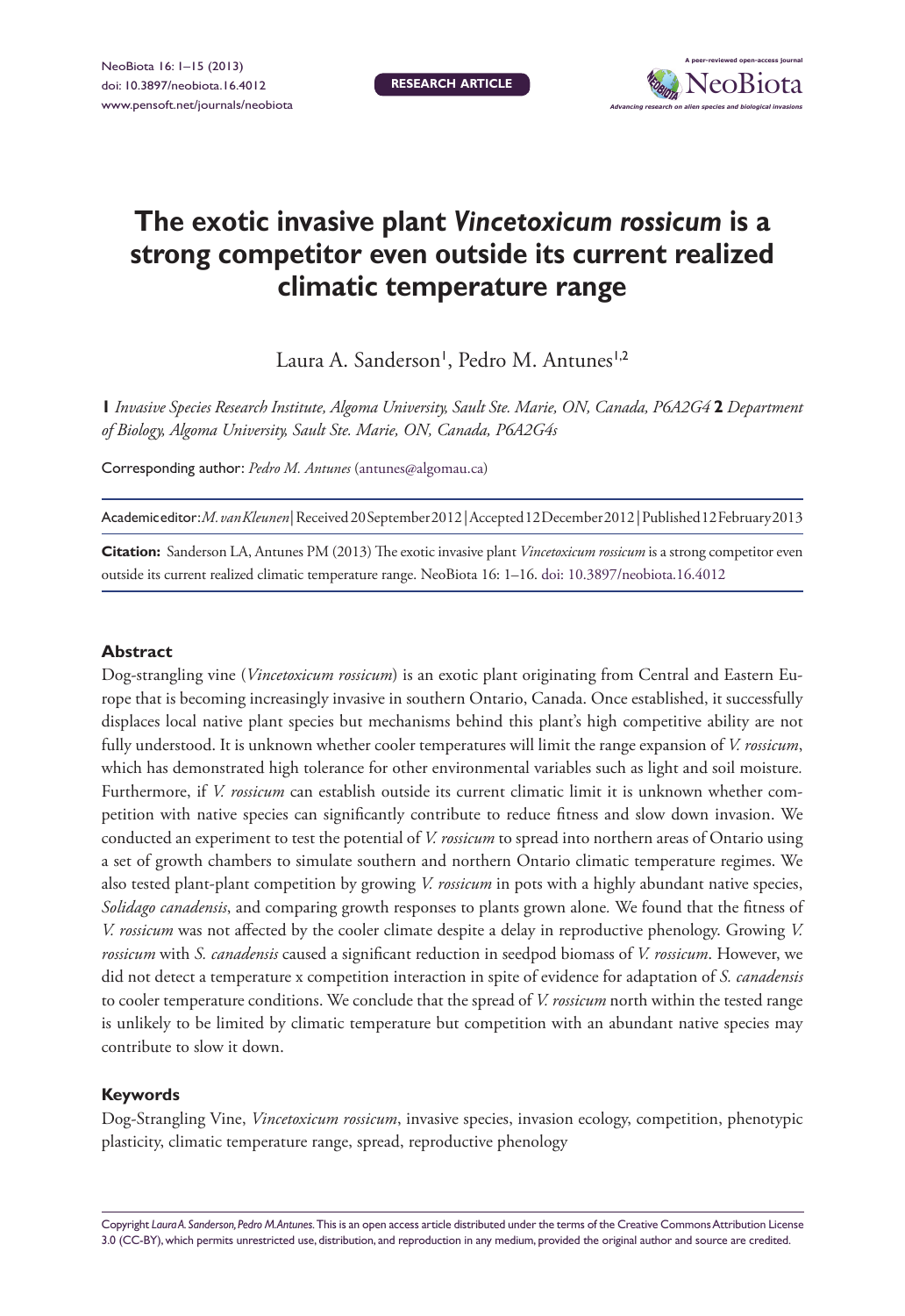**Research article**



# **The exotic invasive plant** *Vincetoxicum rossicum* **is a strong competitor even outside its current realized climatic temperature range**

Laura A. Sanderson', Pedro M. Antunes<sup>1,2</sup>

**1** *Invasive Species Research Institute, Algoma University, Sault Ste. Marie, ON, Canada, P6A2G4* **2** *Department of Biology, Algoma University, Sault Ste. Marie, ON, Canada, P6A2G4s*

Corresponding author: *Pedro M. Antunes* ([antunes@algomau.ca\)](mailto:antunes@algomau.ca)

Academic editor:*M. van Kleunen* | Received 20 September 2012 | Accepted 12 December 2012 | Published 12 February 2013

**Citation:** Sanderson LA, Antunes PM (2013) The exotic invasive plant *Vincetoxicum rossicum* is a strong competitor even outside its current realized climatic temperature range. NeoBiota 16: 1–16. [doi: 10.3897/neobiota.16.4012](http://dx.doi.org/10.3897/neobiota.16.4012)

# **Abstract**

Dog-strangling vine (*Vincetoxicum rossicum*) is an exotic plant originating from Central and Eastern Europe that is becoming increasingly invasive in southern Ontario, Canada. Once established, it successfully displaces local native plant species but mechanisms behind this plant's high competitive ability are not fully understood. It is unknown whether cooler temperatures will limit the range expansion of *V. rossicum*, which has demonstrated high tolerance for other environmental variables such as light and soil moisture*.* Furthermore, if *V. rossicum* can establish outside its current climatic limit it is unknown whether competition with native species can significantly contribute to reduce fitness and slow down invasion. We conducted an experiment to test the potential of *V. rossicum* to spread into northern areas of Ontario using a set of growth chambers to simulate southern and northern Ontario climatic temperature regimes. We also tested plant-plant competition by growing *V. rossicum* in pots with a highly abundant native species, *Solidago canadensis*, and comparing growth responses to plants grown alone*.* We found that the fitness of *V. rossicum* was not affected by the cooler climate despite a delay in reproductive phenology. Growing *V. rossicum* with *S. canadensis* caused a significant reduction in seedpod biomass of *V. rossicum*. However, we did not detect a temperature x competition interaction in spite of evidence for adaptation of *S. canadensis* to cooler temperature conditions. We conclude that the spread of *V. rossicum* north within the tested range is unlikely to be limited by climatic temperature but competition with an abundant native species may contribute to slow it down.

## **Keywords**

Dog-Strangling Vine, *Vincetoxicum rossicum*, invasive species, invasion ecology, competition, phenotypic plasticity, climatic temperature range, spread, reproductive phenology

Copyright *Laura A. Sanderson, Pedro M. Antunes.* This is an open access article distributed under the terms of the [Creative Commons Attribution License](http://creativecommons.org/licenses/by/3.0/)  [3.0 \(CC-BY\)](http://creativecommons.org/licenses/by/3.0/), which permits unrestricted use, distribution, and reproduction in any medium, provided the original author and source are credited.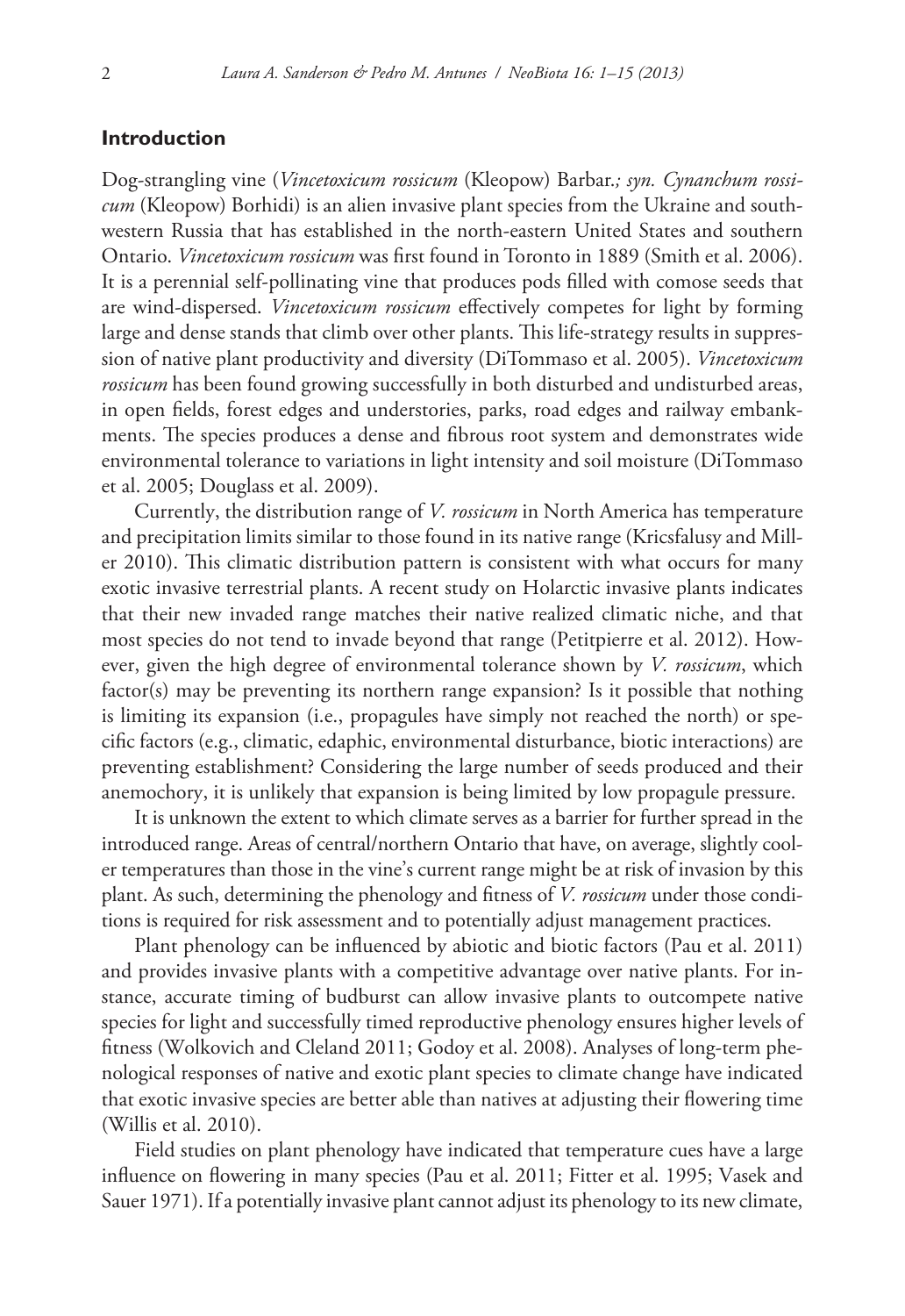# **Introduction**

Dog-strangling vine (*Vincetoxicum rossicum* (Kleopow) Barbar.*; syn. Cynanchum rossicum* (Kleopow) Borhidi) is an alien invasive plant species from the Ukraine and southwestern Russia that has established in the north-eastern United States and southern Ontario. *Vincetoxicum rossicum* was first found in Toronto in 1889 (Smith et al. 2006). It is a perennial self-pollinating vine that produces pods filled with comose seeds that are wind-dispersed. *Vincetoxicum rossicum* effectively competes for light by forming large and dense stands that climb over other plants. This life-strategy results in suppression of native plant productivity and diversity (DiTommaso et al. 2005). *Vincetoxicum rossicum* has been found growing successfully in both disturbed and undisturbed areas, in open fields, forest edges and understories, parks, road edges and railway embankments. The species produces a dense and fibrous root system and demonstrates wide environmental tolerance to variations in light intensity and soil moisture (DiTommaso et al. 2005; Douglass et al. 2009).

Currently, the distribution range of *V. rossicum* in North America has temperature and precipitation limits similar to those found in its native range (Kricsfalusy and Miller 2010). This climatic distribution pattern is consistent with what occurs for many exotic invasive terrestrial plants. A recent study on Holarctic invasive plants indicates that their new invaded range matches their native realized climatic niche, and that most species do not tend to invade beyond that range (Petitpierre et al. 2012). However, given the high degree of environmental tolerance shown by *V. rossicum*, which factor(s) may be preventing its northern range expansion? Is it possible that nothing is limiting its expansion (i.e., propagules have simply not reached the north) or specific factors (e.g., climatic, edaphic, environmental disturbance, biotic interactions) are preventing establishment? Considering the large number of seeds produced and their anemochory, it is unlikely that expansion is being limited by low propagule pressure.

It is unknown the extent to which climate serves as a barrier for further spread in the introduced range. Areas of central/northern Ontario that have, on average, slightly cooler temperatures than those in the vine's current range might be at risk of invasion by this plant. As such, determining the phenology and fitness of *V. rossicum* under those conditions is required for risk assessment and to potentially adjust management practices.

Plant phenology can be influenced by abiotic and biotic factors (Pau et al. 2011) and provides invasive plants with a competitive advantage over native plants. For instance, accurate timing of budburst can allow invasive plants to outcompete native species for light and successfully timed reproductive phenology ensures higher levels of fitness (Wolkovich and Cleland 2011; Godoy et al. 2008). Analyses of long-term phenological responses of native and exotic plant species to climate change have indicated that exotic invasive species are better able than natives at adjusting their flowering time (Willis et al. 2010).

Field studies on plant phenology have indicated that temperature cues have a large influence on flowering in many species (Pau et al. 2011; Fitter et al. 1995; Vasek and Sauer 1971). If a potentially invasive plant cannot adjust its phenology to its new climate,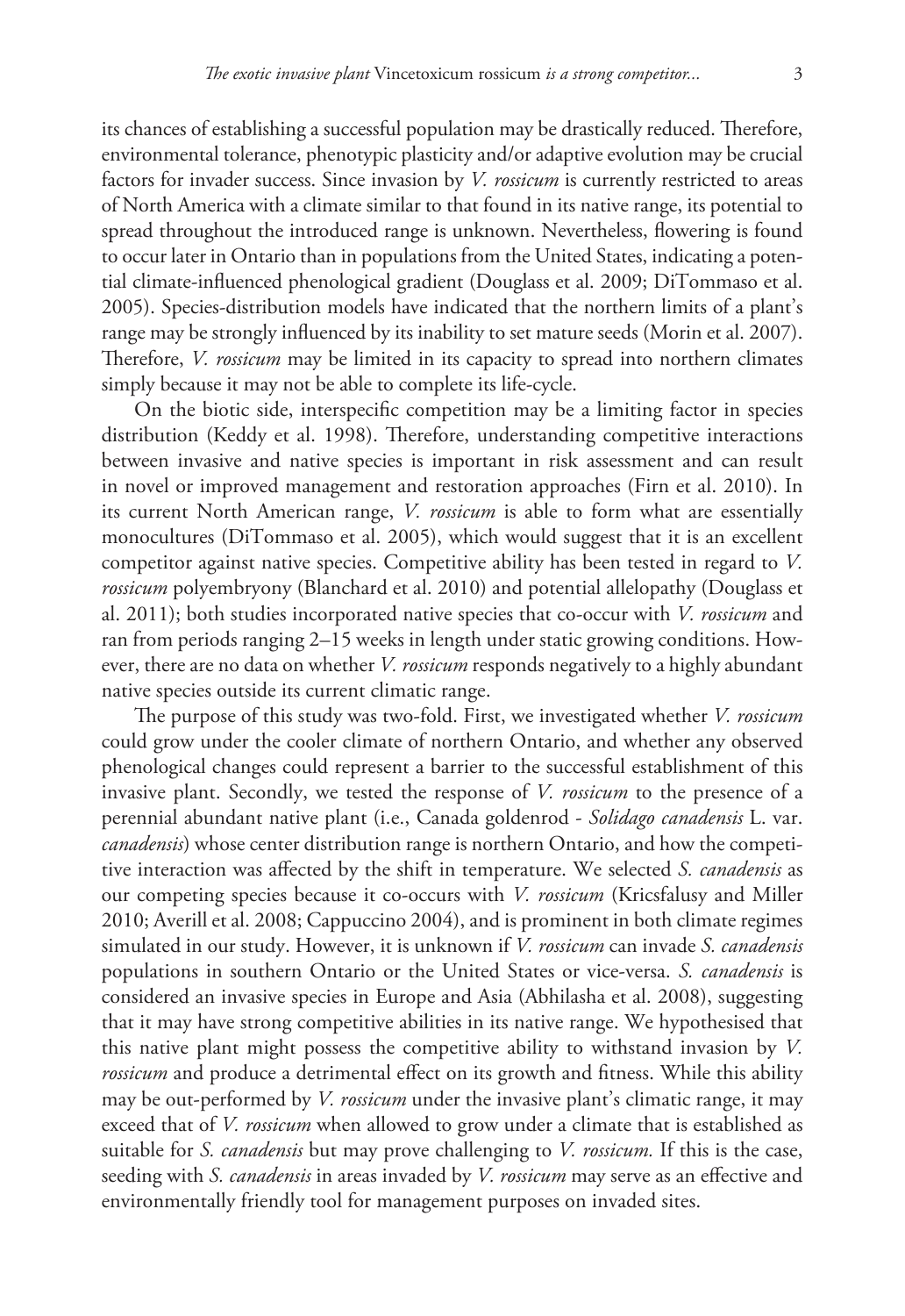its chances of establishing a successful population may be drastically reduced. Therefore, environmental tolerance, phenotypic plasticity and/or adaptive evolution may be crucial factors for invader success. Since invasion by *V. rossicum* is currently restricted to areas of North America with a climate similar to that found in its native range, its potential to spread throughout the introduced range is unknown. Nevertheless, flowering is found to occur later in Ontario than in populations from the United States, indicating a potential climate-influenced phenological gradient (Douglass et al. 2009; DiTommaso et al. 2005). Species-distribution models have indicated that the northern limits of a plant's range may be strongly influenced by its inability to set mature seeds (Morin et al. 2007). Therefore, *V. rossicum* may be limited in its capacity to spread into northern climates simply because it may not be able to complete its life-cycle.

On the biotic side, interspecific competition may be a limiting factor in species distribution (Keddy et al. 1998). Therefore, understanding competitive interactions between invasive and native species is important in risk assessment and can result in novel or improved management and restoration approaches (Firn et al. 2010). In its current North American range, *V. rossicum* is able to form what are essentially monocultures (DiTommaso et al. 2005), which would suggest that it is an excellent competitor against native species. Competitive ability has been tested in regard to *V. rossicum* polyembryony (Blanchard et al. 2010) and potential allelopathy (Douglass et al. 2011); both studies incorporated native species that co-occur with *V. rossicum* and ran from periods ranging 2–15 weeks in length under static growing conditions. However, there are no data on whether *V. rossicum* responds negatively to a highly abundant native species outside its current climatic range.

The purpose of this study was two-fold. First, we investigated whether *V. rossicum*  could grow under the cooler climate of northern Ontario, and whether any observed phenological changes could represent a barrier to the successful establishment of this invasive plant. Secondly, we tested the response of *V. rossicum* to the presence of a perennial abundant native plant (i.e., Canada goldenrod - *Solidago canadensis* L. var. *canadensis*) whose center distribution range is northern Ontario, and how the competitive interaction was affected by the shift in temperature. We selected *S. canadensis* as our competing species because it co-occurs with *V. rossicum* (Kricsfalusy and Miller 2010; Averill et al. 2008; Cappuccino 2004), and is prominent in both climate regimes simulated in our study. However, it is unknown if *V. rossicum* can invade *S. canadensis* populations in southern Ontario or the United States or vice-versa. *S. canadensis* is considered an invasive species in Europe and Asia (Abhilasha et al. 2008), suggesting that it may have strong competitive abilities in its native range. We hypothesised that this native plant might possess the competitive ability to withstand invasion by *V. rossicum* and produce a detrimental effect on its growth and fitness. While this ability may be out-performed by *V. rossicum* under the invasive plant's climatic range, it may exceed that of *V. rossicum* when allowed to grow under a climate that is established as suitable for *S. canadensis* but may prove challenging to *V. rossicum.* If this is the case, seeding with *S. canadensis* in areas invaded by *V. rossicum* may serve as an effective and environmentally friendly tool for management purposes on invaded sites.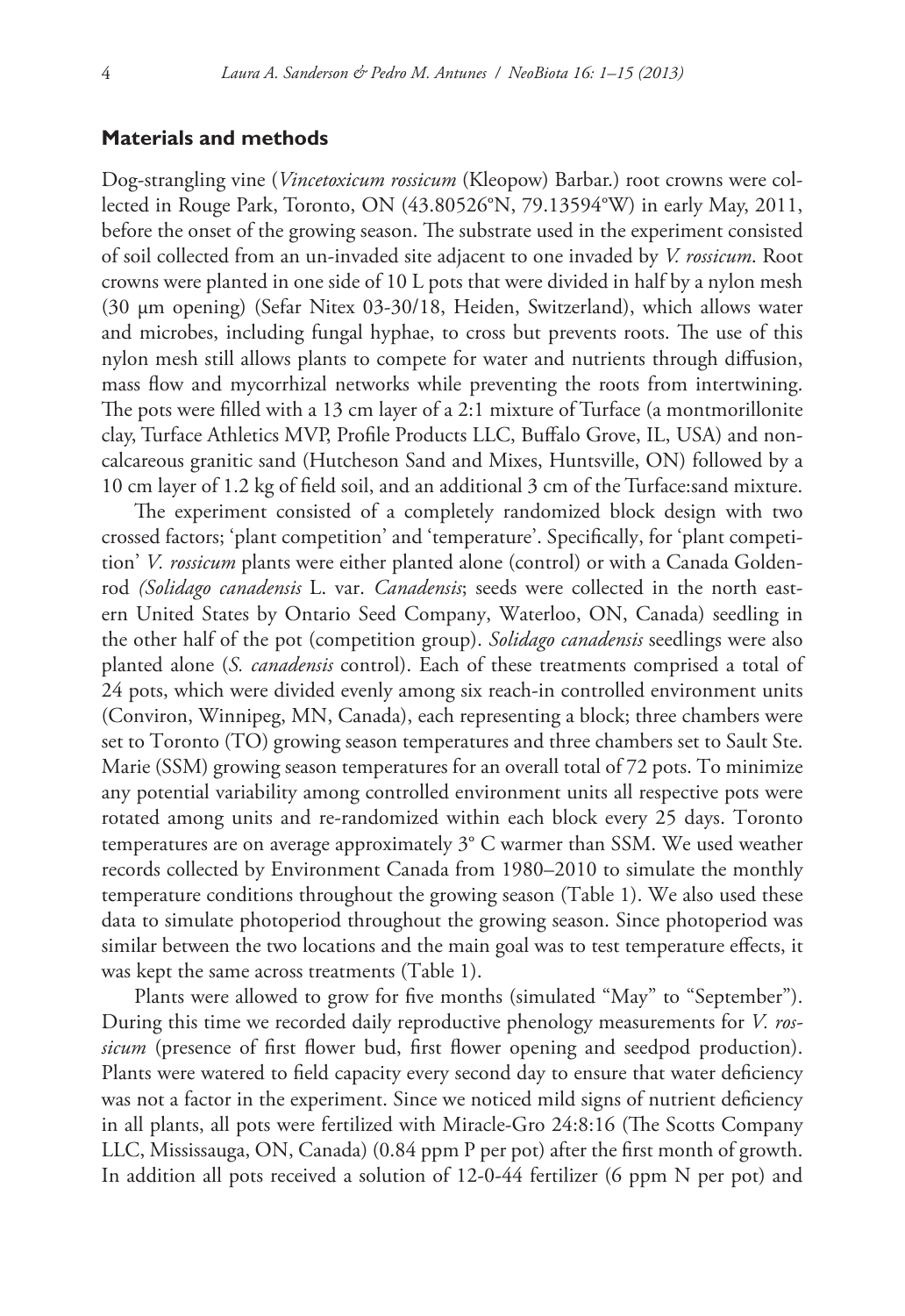#### **Materials and methods**

Dog-strangling vine (*Vincetoxicum rossicum* (Kleopow) Barbar.) root crowns were collected in Rouge Park, Toronto, ON (43.80526°N, 79.13594°W) in early May, 2011, before the onset of the growing season. The substrate used in the experiment consisted of soil collected from an un-invaded site adjacent to one invaded by *V. rossicum*. Root crowns were planted in one side of 10 L pots that were divided in half by a nylon mesh (30 μm opening) (Sefar Nitex 03-30/18, Heiden, Switzerland), which allows water and microbes, including fungal hyphae, to cross but prevents roots. The use of this nylon mesh still allows plants to compete for water and nutrients through diffusion, mass flow and mycorrhizal networks while preventing the roots from intertwining. The pots were filled with a 13 cm layer of a 2:1 mixture of Turface (a montmorillonite clay, Turface Athletics MVP, Profile Products LLC, Buffalo Grove, IL, USA) and noncalcareous granitic sand (Hutcheson Sand and Mixes, Huntsville, ON) followed by a 10 cm layer of 1.2 kg of field soil, and an additional 3 cm of the Turface:sand mixture.

The experiment consisted of a completely randomized block design with two crossed factors; 'plant competition' and 'temperature'. Specifically, for 'plant competition' *V. rossicum* plants were either planted alone (control) or with a Canada Goldenrod *(Solidago canadensis* L. var. *Canadensis*; seeds were collected in the north eastern United States by Ontario Seed Company, Waterloo, ON, Canada) seedling in the other half of the pot (competition group). *Solidago canadensis* seedlings were also planted alone (*S. canadensis* control). Each of these treatments comprised a total of 24 pots, which were divided evenly among six reach-in controlled environment units (Conviron, Winnipeg, MN, Canada), each representing a block; three chambers were set to Toronto (TO) growing season temperatures and three chambers set to Sault Ste. Marie (SSM) growing season temperatures for an overall total of 72 pots. To minimize any potential variability among controlled environment units all respective pots were rotated among units and re-randomized within each block every 25 days. Toronto temperatures are on average approximately 3° C warmer than SSM. We used weather records collected by Environment Canada from 1980–2010 to simulate the monthly temperature conditions throughout the growing season (Table 1). We also used these data to simulate photoperiod throughout the growing season. Since photoperiod was similar between the two locations and the main goal was to test temperature effects, it was kept the same across treatments (Table 1).

Plants were allowed to grow for five months (simulated "May" to "September"). During this time we recorded daily reproductive phenology measurements for *V. rossicum* (presence of first flower bud, first flower opening and seedpod production). Plants were watered to field capacity every second day to ensure that water deficiency was not a factor in the experiment. Since we noticed mild signs of nutrient deficiency in all plants, all pots were fertilized with Miracle-Gro 24:8:16 (The Scotts Company LLC, Mississauga, ON, Canada) (0.84 ppm P per pot) after the first month of growth. In addition all pots received a solution of 12-0-44 fertilizer (6 ppm N per pot) and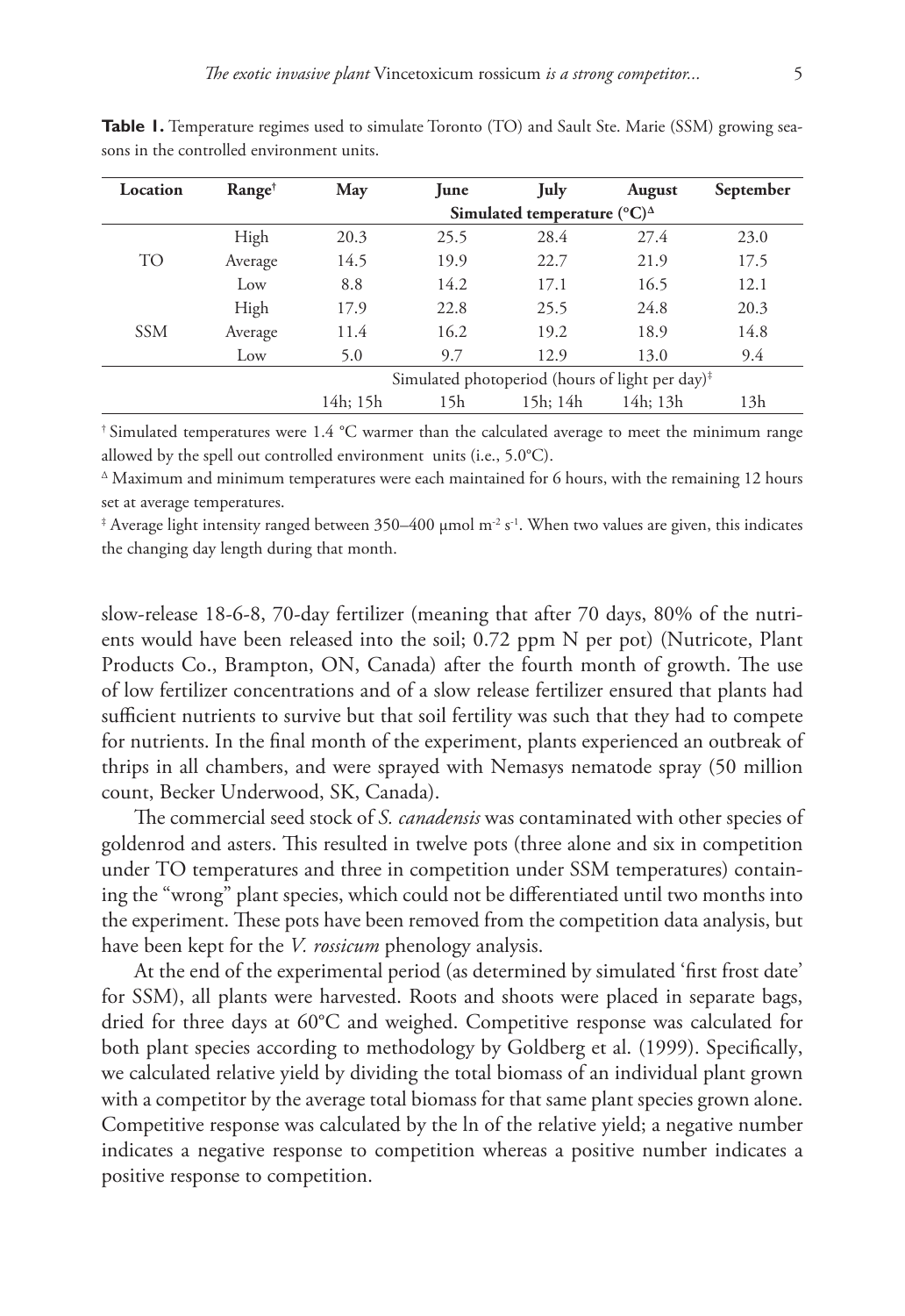| Location   | Range <sup>†</sup> | May                                                                             | <b>June</b> | July     | <b>August</b> | September |  |
|------------|--------------------|---------------------------------------------------------------------------------|-------------|----------|---------------|-----------|--|
|            |                    | Simulated temperature $({}^{\circ}C)^{\Delta}$                                  |             |          |               |           |  |
| <b>TO</b>  | High               | 20.3                                                                            | 25.5        | 28.4     | 27.4          | 23.0      |  |
|            | Average            | 14.5                                                                            | 19.9        | 22.7     | 21.9          | 17.5      |  |
|            | Low                | 8.8                                                                             | 14.2        | 17.1     | 16.5          | 12.1      |  |
| <b>SSM</b> | High               | 17.9                                                                            | 22.8        | 25.5     | 24.8          | 20.3      |  |
|            | Average            | 11.4                                                                            | 16.2        | 19.2     | 18.9          | 14.8      |  |
|            | Low                | 5.0                                                                             | 9.7         | 12.9     | 13.0          | 9.4       |  |
|            |                    | Simulated photoperiod (hours of light per day) <sup><math>\ddagger</math></sup> |             |          |               |           |  |
|            |                    | 14h; 15h                                                                        | 15h         | 15h: 14h | 14h; 13h      | 13h       |  |

**Table 1.** Temperature regimes used to simulate Toronto (TO) and Sault Ste. Marie (SSM) growing seasons in the controlled environment units.

† Simulated temperatures were 1.4 °C warmer than the calculated average to meet the minimum range allowed by the spell out controlled environment units (i.e., 5.0°C).

 $\triangle$  Maximum and minimum temperatures were each maintained for 6 hours, with the remaining 12 hours set at average temperatures.

 $^{\ddagger}$  Average light intensity ranged between 350–400 µmol m<sup>-2</sup> s<sup>-1</sup>. When two values are given, this indicates the changing day length during that month.

slow-release 18-6-8, 70-day fertilizer (meaning that after 70 days, 80% of the nutrients would have been released into the soil; 0.72 ppm N per pot) (Nutricote, Plant Products Co., Brampton, ON, Canada) after the fourth month of growth. The use of low fertilizer concentrations and of a slow release fertilizer ensured that plants had sufficient nutrients to survive but that soil fertility was such that they had to compete for nutrients. In the final month of the experiment, plants experienced an outbreak of thrips in all chambers, and were sprayed with Nemasys nematode spray (50 million count, Becker Underwood, SK, Canada).

The commercial seed stock of *S. canadensis* was contaminated with other species of goldenrod and asters. This resulted in twelve pots (three alone and six in competition under TO temperatures and three in competition under SSM temperatures) containing the "wrong" plant species, which could not be differentiated until two months into the experiment. These pots have been removed from the competition data analysis, but have been kept for the *V. rossicum* phenology analysis.

At the end of the experimental period (as determined by simulated 'first frost date' for SSM), all plants were harvested. Roots and shoots were placed in separate bags, dried for three days at 60°C and weighed. Competitive response was calculated for both plant species according to methodology by Goldberg et al. (1999). Specifically, we calculated relative yield by dividing the total biomass of an individual plant grown with a competitor by the average total biomass for that same plant species grown alone. Competitive response was calculated by the ln of the relative yield; a negative number indicates a negative response to competition whereas a positive number indicates a positive response to competition.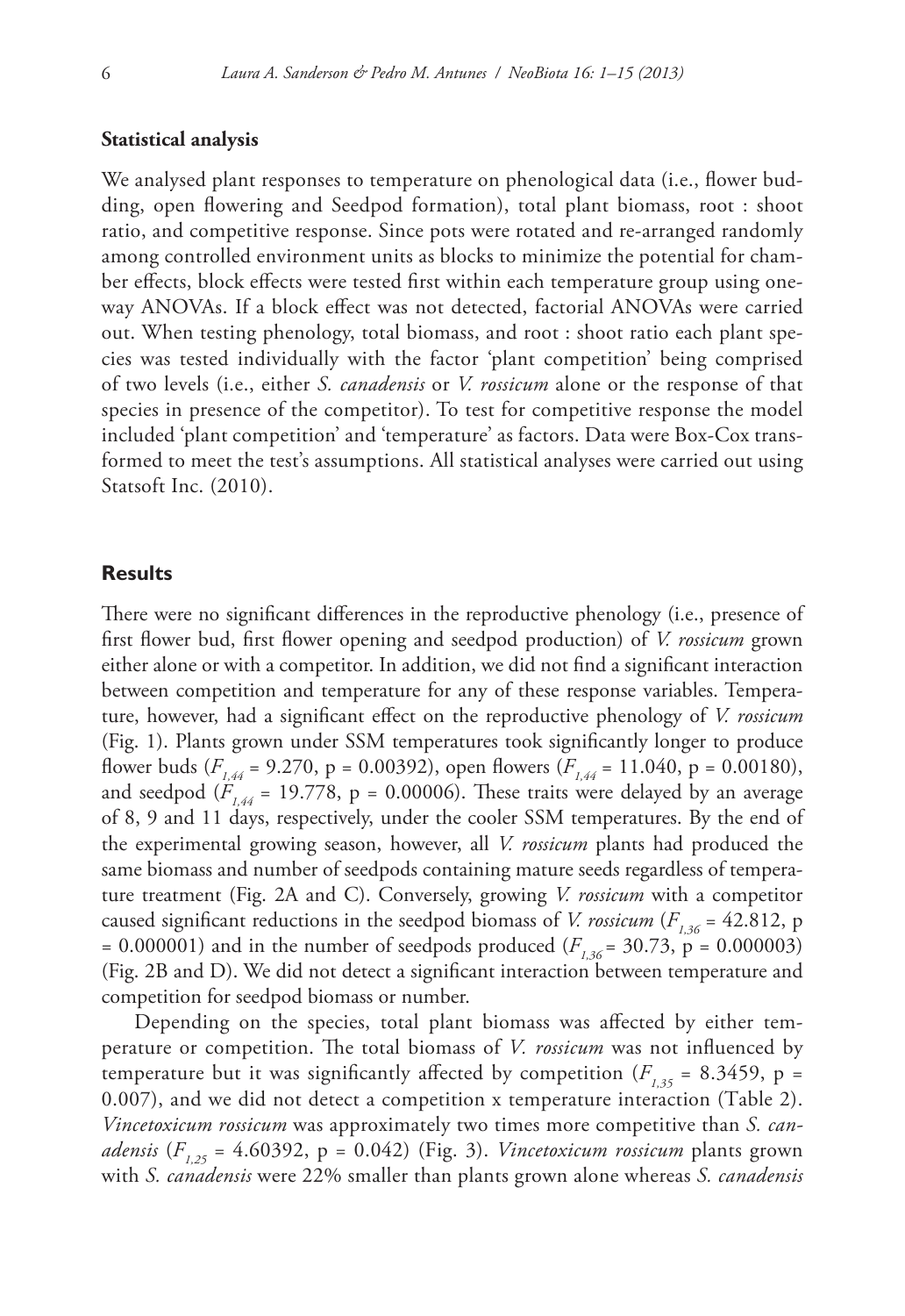#### **Statistical analysis**

We analysed plant responses to temperature on phenological data (i.e., flower budding, open flowering and Seedpod formation), total plant biomass, root : shoot ratio, and competitive response. Since pots were rotated and re-arranged randomly among controlled environment units as blocks to minimize the potential for chamber effects, block effects were tested first within each temperature group using oneway ANOVAs. If a block effect was not detected, factorial ANOVAs were carried out. When testing phenology, total biomass, and root : shoot ratio each plant species was tested individually with the factor 'plant competition' being comprised of two levels (i.e., either *S. canadensis* or *V. rossicum* alone or the response of that species in presence of the competitor). To test for competitive response the model included 'plant competition' and 'temperature' as factors. Data were Box-Cox transformed to meet the test's assumptions. All statistical analyses were carried out using Statsoft Inc. (2010).

# **Results**

There were no significant differences in the reproductive phenology (i.e., presence of first flower bud, first flower opening and seedpod production) of *V. rossicum* grown either alone or with a competitor. In addition, we did not find a significant interaction between competition and temperature for any of these response variables. Temperature, however, had a significant effect on the reproductive phenology of *V. rossicum* (Fig. 1). Plants grown under SSM temperatures took significantly longer to produce flower buds ( $F_{1,44}$  = 9.270, p = 0.00392), open flowers ( $F_{1,44}$  = 11.040, p = 0.00180), and seedpod ( $F_{1,44}$  = 19.778, p = 0.00006). These traits were delayed by an average of 8, 9 and 11 days, respectively, under the cooler SSM temperatures. By the end of the experimental growing season, however, all *V. rossicum* plants had produced the same biomass and number of seedpods containing mature seeds regardless of temperature treatment (Fig. 2A and C). Conversely, growing *V. rossicum* with a competitor caused significant reductions in the seedpod biomass of *V. rossicum* ( $F_{1,36}$  = 42.812, p = 0.000001) and in the number of seedpods produced ( $F_{1,36}$  = 30.73, p = 0.000003) (Fig. 2B and D). We did not detect a significant interaction between temperature and competition for seedpod biomass or number.

Depending on the species, total plant biomass was affected by either temperature or competition. The total biomass of *V. rossicum* was not influenced by temperature but it was significantly affected by competition ( $F_{1,35}$  = 8.3459, p = 0.007), and we did not detect a competition x temperature interaction (Table 2). *Vincetoxicum rossicum* was approximately two times more competitive than *S. canadensis* ( $F_{1,25}$  = 4.60392, p = 0.042) (Fig. 3). *Vincetoxicum rossicum* plants grown with *S. canadensis* were 22% smaller than plants grown alone whereas *S. canadensis*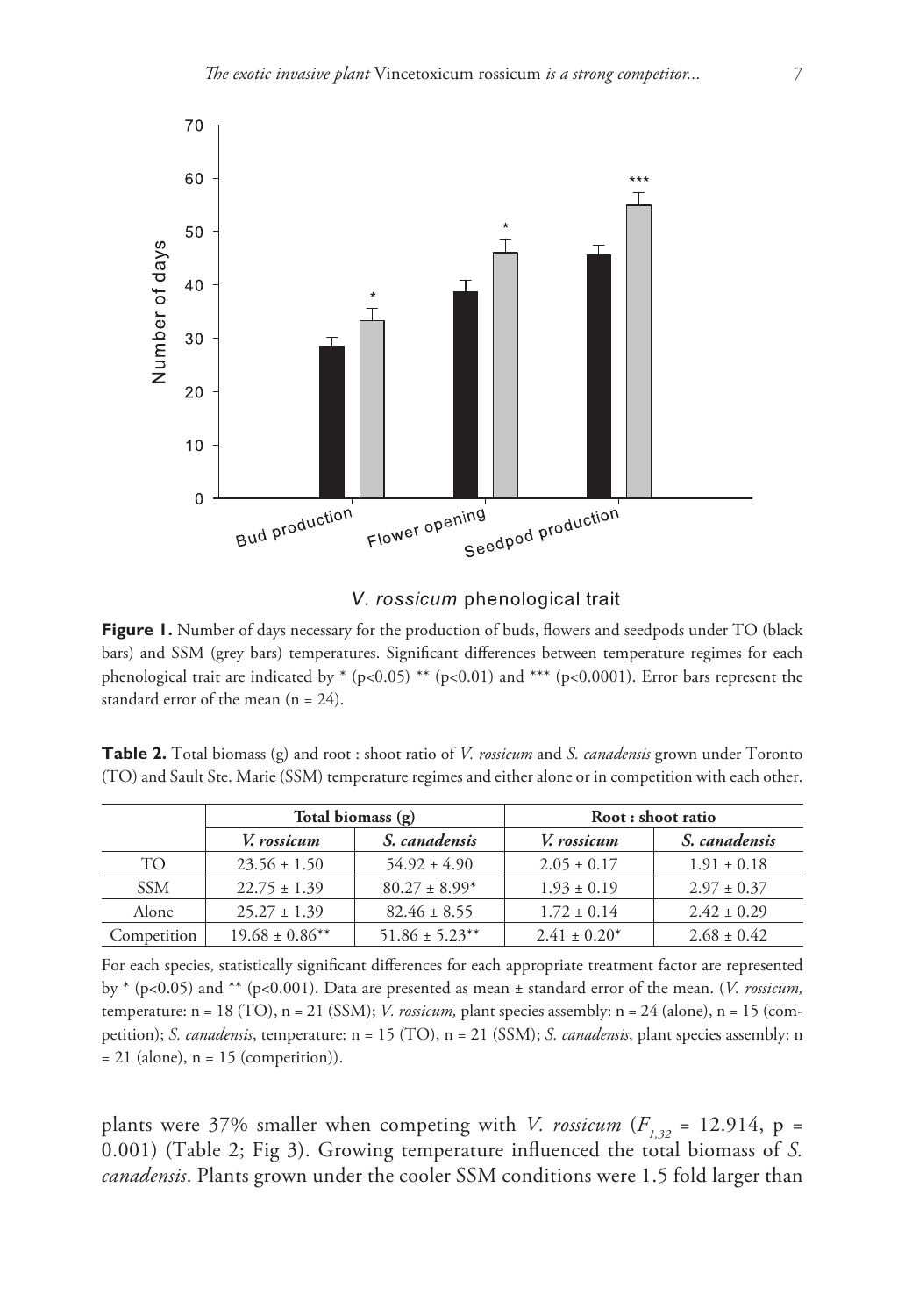

#### V. rossicum phenological trait

Figure 1. Number of days necessary for the production of buds, flowers and seedpods under TO (black bars) and SSM (grey bars) temperatures. Significant differences between temperature regimes for each phenological trait are indicated by  $*(p<0.05) ** (p<0.01)$  and  $*** (p<0.0001)$ . Error bars represent the standard error of the mean  $(n = 24)$ .

**Table 2.** Total biomass (g) and root : shoot ratio of *V. rossicum* and *S. canadensis* grown under Toronto (TO) and Sault Ste. Marie (SSM) temperature regimes and either alone or in competition with each other.

|             |                     | Total biomass (g)   | Root: shoot ratio  |                 |  |
|-------------|---------------------|---------------------|--------------------|-----------------|--|
|             | <i>V. rossicum</i>  | S. canadensis       | <i>V. rossicum</i> | S. canadensis   |  |
| TO.         | $23.56 \pm 1.50$    | $54.92 \pm 4.90$    | $2.05 \pm 0.17$    | $1.91 \pm 0.18$ |  |
| SSM         | $22.75 \pm 1.39$    | $80.27 \pm 8.99*$   | $1.93 \pm 0.19$    | $2.97 \pm 0.37$ |  |
| Alone       | $25.27 \pm 1.39$    | $82.46 \pm 8.55$    | $1.72 \pm 0.14$    | $2.42 \pm 0.29$ |  |
| Competition | $19.68 \pm 0.86***$ | $51.86 \pm 5.23***$ | $2.41 \pm 0.20^*$  | $2.68 \pm 0.42$ |  |

For each species, statistically significant differences for each appropriate treatment factor are represented by \* (p<0.05) and \*\* (p<0.001). Data are presented as mean ± standard error of the mean. (*V. rossicum,*  temperature: n = 18 (TO), n = 21 (SSM); *V. rossicum,* plant species assembly: n = 24 (alone), n = 15 (competition); *S. canadensis*, temperature: n = 15 (TO), n = 21 (SSM); *S. canadensis*, plant species assembly: n  $= 21$  (alone),  $n = 15$  (competition)).

plants were 37% smaller when competing with *V. rossicum* ( $F_{1,32}$  = 12.914, p = 0.001) (Table 2; Fig 3). Growing temperature influenced the total biomass of *S. canadensis*. Plants grown under the cooler SSM conditions were 1.5 fold larger than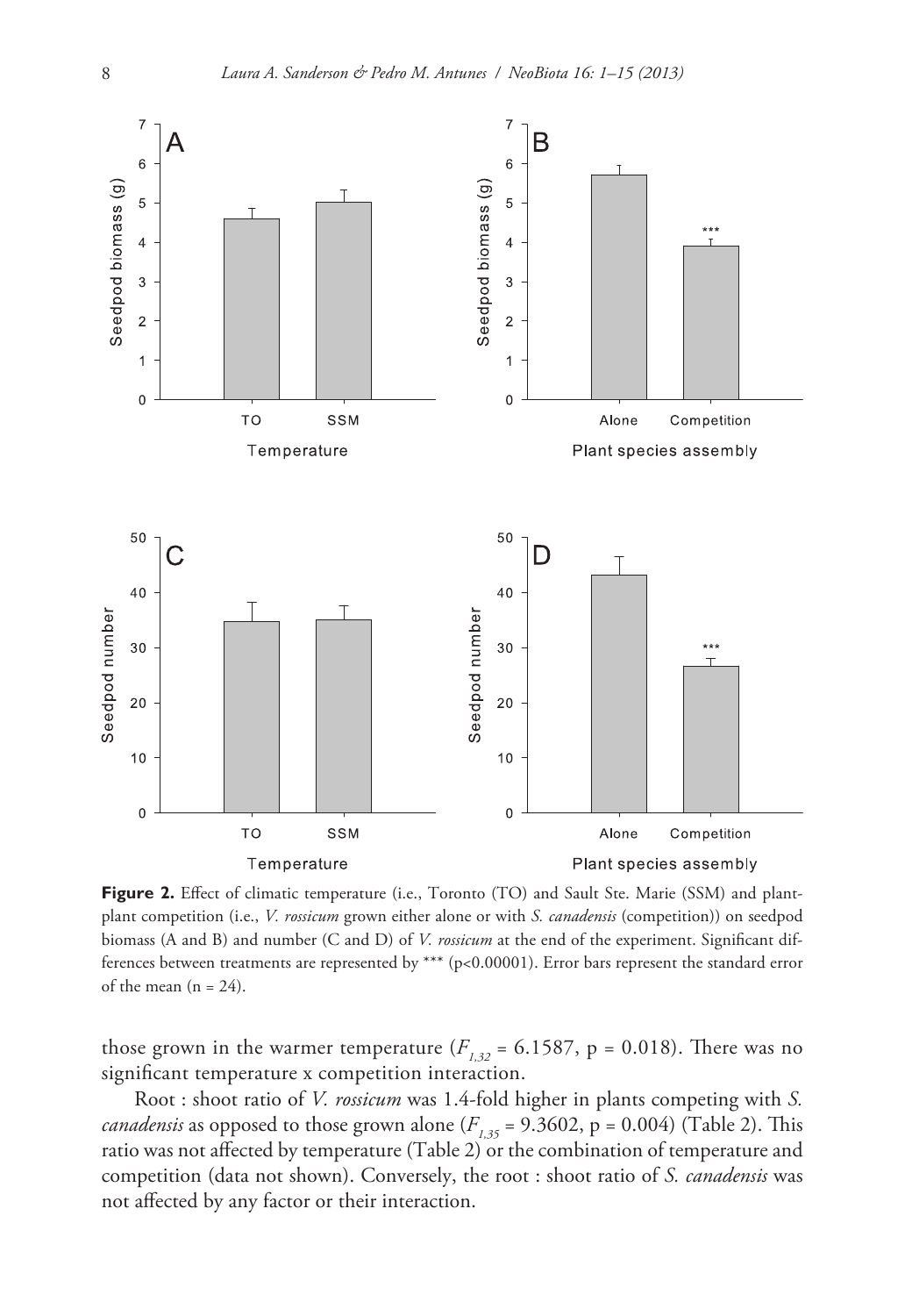

**Figure 2.** Effect of climatic temperature (i.e., Toronto (TO) and Sault Ste. Marie (SSM) and plantplant competition (i.e., *V. rossicum* grown either alone or with *S. canadensis* (competition)) on seedpod biomass (A and B) and number (C and D) of *V. rossicum* at the end of the experiment. Significant differences between treatments are represented by \*\*\* (p<0.00001). Error bars represent the standard error of the mean  $(n = 24)$ .

those grown in the warmer temperature  $(F_{1,32} = 6.1587, p = 0.018)$ . There was no significant temperature x competition interaction.

Root : shoot ratio of *V. rossicum* was 1.4-fold higher in plants competing with *S. canadensis* as opposed to those grown alone  $(F_{1,35} = 9.3602, p = 0.004)$  (Table 2). This ratio was not affected by temperature (Table 2) or the combination of temperature and competition (data not shown). Conversely, the root : shoot ratio of *S. canadensis* was not affected by any factor or their interaction.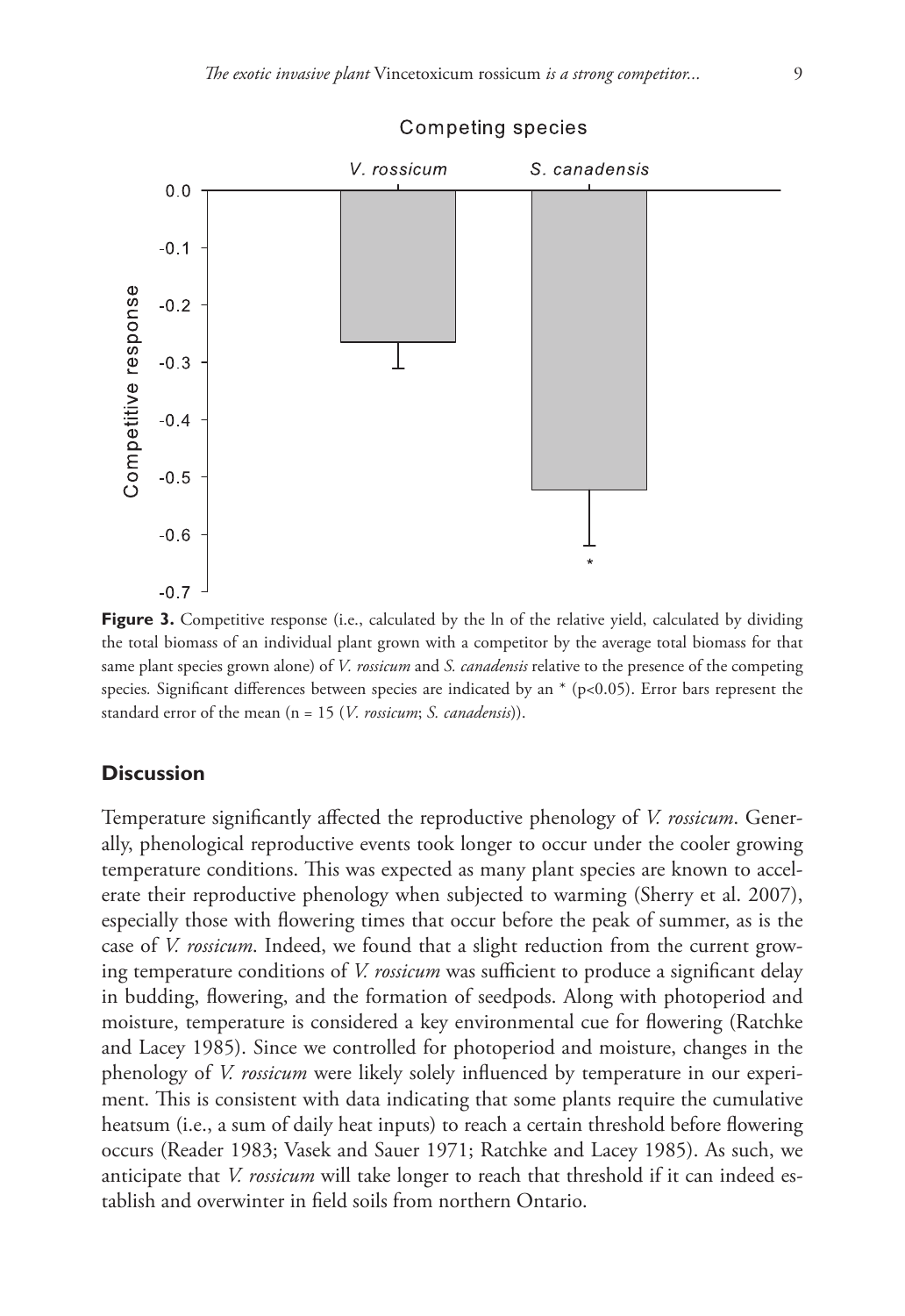**Competing species** 



**Figure 3.** Competitive response (i.e., calculated by the ln of the relative yield, calculated by dividing the total biomass of an individual plant grown with a competitor by the average total biomass for that same plant species grown alone) of *V. rossicum* and *S. canadensis* relative to the presence of the competing species. Significant differences between species are indicated by an \* (p<0.05). Error bars represent the standard error of the mean (n = 15 (*V. rossicum*; *S. canadensis*)).

# **Discussion**

Temperature significantly affected the reproductive phenology of *V. rossicum*. Generally, phenological reproductive events took longer to occur under the cooler growing temperature conditions. This was expected as many plant species are known to accelerate their reproductive phenology when subjected to warming (Sherry et al. 2007), especially those with flowering times that occur before the peak of summer, as is the case of *V. rossicum*. Indeed, we found that a slight reduction from the current growing temperature conditions of *V. rossicum* was sufficient to produce a significant delay in budding, flowering, and the formation of seedpods. Along with photoperiod and moisture, temperature is considered a key environmental cue for flowering (Ratchke and Lacey 1985). Since we controlled for photoperiod and moisture, changes in the phenology of *V. rossicum* were likely solely influenced by temperature in our experiment. This is consistent with data indicating that some plants require the cumulative heatsum (i.e., a sum of daily heat inputs) to reach a certain threshold before flowering occurs (Reader 1983; Vasek and Sauer 1971; Ratchke and Lacey 1985). As such, we anticipate that *V. rossicum* will take longer to reach that threshold if it can indeed establish and overwinter in field soils from northern Ontario.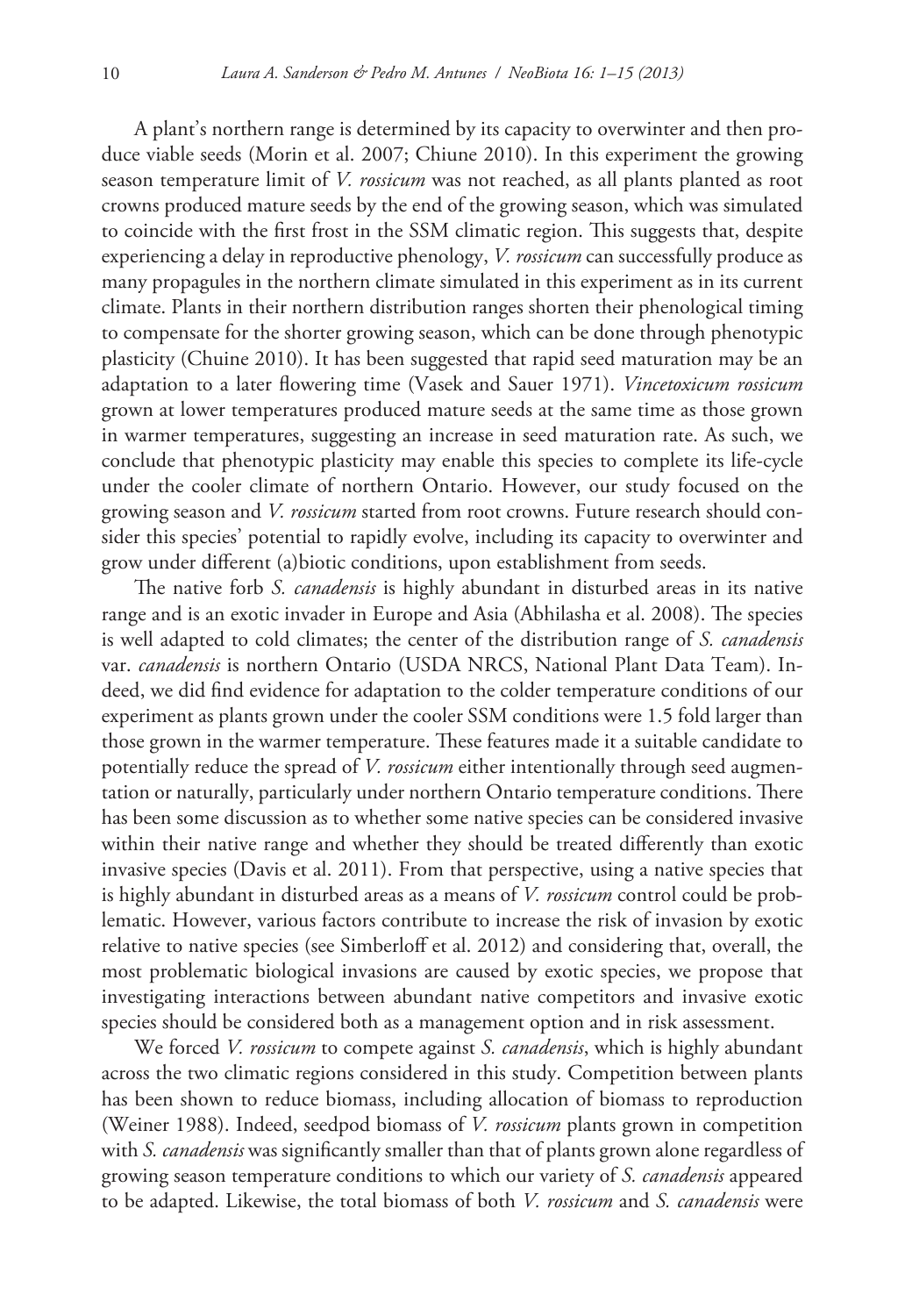A plant's northern range is determined by its capacity to overwinter and then produce viable seeds (Morin et al. 2007; Chiune 2010). In this experiment the growing season temperature limit of *V. rossicum* was not reached, as all plants planted as root crowns produced mature seeds by the end of the growing season, which was simulated to coincide with the first frost in the SSM climatic region. This suggests that, despite experiencing a delay in reproductive phenology, *V. rossicum* can successfully produce as many propagules in the northern climate simulated in this experiment as in its current climate. Plants in their northern distribution ranges shorten their phenological timing to compensate for the shorter growing season, which can be done through phenotypic plasticity (Chuine 2010). It has been suggested that rapid seed maturation may be an adaptation to a later flowering time (Vasek and Sauer 1971). *Vincetoxicum rossicum*  grown at lower temperatures produced mature seeds at the same time as those grown in warmer temperatures, suggesting an increase in seed maturation rate. As such, we conclude that phenotypic plasticity may enable this species to complete its life-cycle under the cooler climate of northern Ontario. However, our study focused on the growing season and *V. rossicum* started from root crowns. Future research should consider this species' potential to rapidly evolve, including its capacity to overwinter and grow under different (a)biotic conditions, upon establishment from seeds.

The native forb *S. canadensis* is highly abundant in disturbed areas in its native range and is an exotic invader in Europe and Asia (Abhilasha et al. 2008). The species is well adapted to cold climates; the center of the distribution range of *S. canadensis* var. *canadensis* is northern Ontario (USDA NRCS, National Plant Data Team). Indeed, we did find evidence for adaptation to the colder temperature conditions of our experiment as plants grown under the cooler SSM conditions were 1.5 fold larger than those grown in the warmer temperature. These features made it a suitable candidate to potentially reduce the spread of *V. rossicum* either intentionally through seed augmentation or naturally, particularly under northern Ontario temperature conditions. There has been some discussion as to whether some native species can be considered invasive within their native range and whether they should be treated differently than exotic invasive species (Davis et al. 2011). From that perspective, using a native species that is highly abundant in disturbed areas as a means of *V. rossicum* control could be problematic. However, various factors contribute to increase the risk of invasion by exotic relative to native species (see Simberloff et al. 2012) and considering that, overall, the most problematic biological invasions are caused by exotic species, we propose that investigating interactions between abundant native competitors and invasive exotic species should be considered both as a management option and in risk assessment.

We forced *V. rossicum* to compete against *S. canadensis*, which is highly abundant across the two climatic regions considered in this study. Competition between plants has been shown to reduce biomass, including allocation of biomass to reproduction (Weiner 1988). Indeed, seedpod biomass of *V. rossicum* plants grown in competition with *S. canadensis* was significantly smaller than that of plants grown alone regardless of growing season temperature conditions to which our variety of *S. canadensis* appeared to be adapted. Likewise, the total biomass of both *V. rossicum* and *S. canadensis* were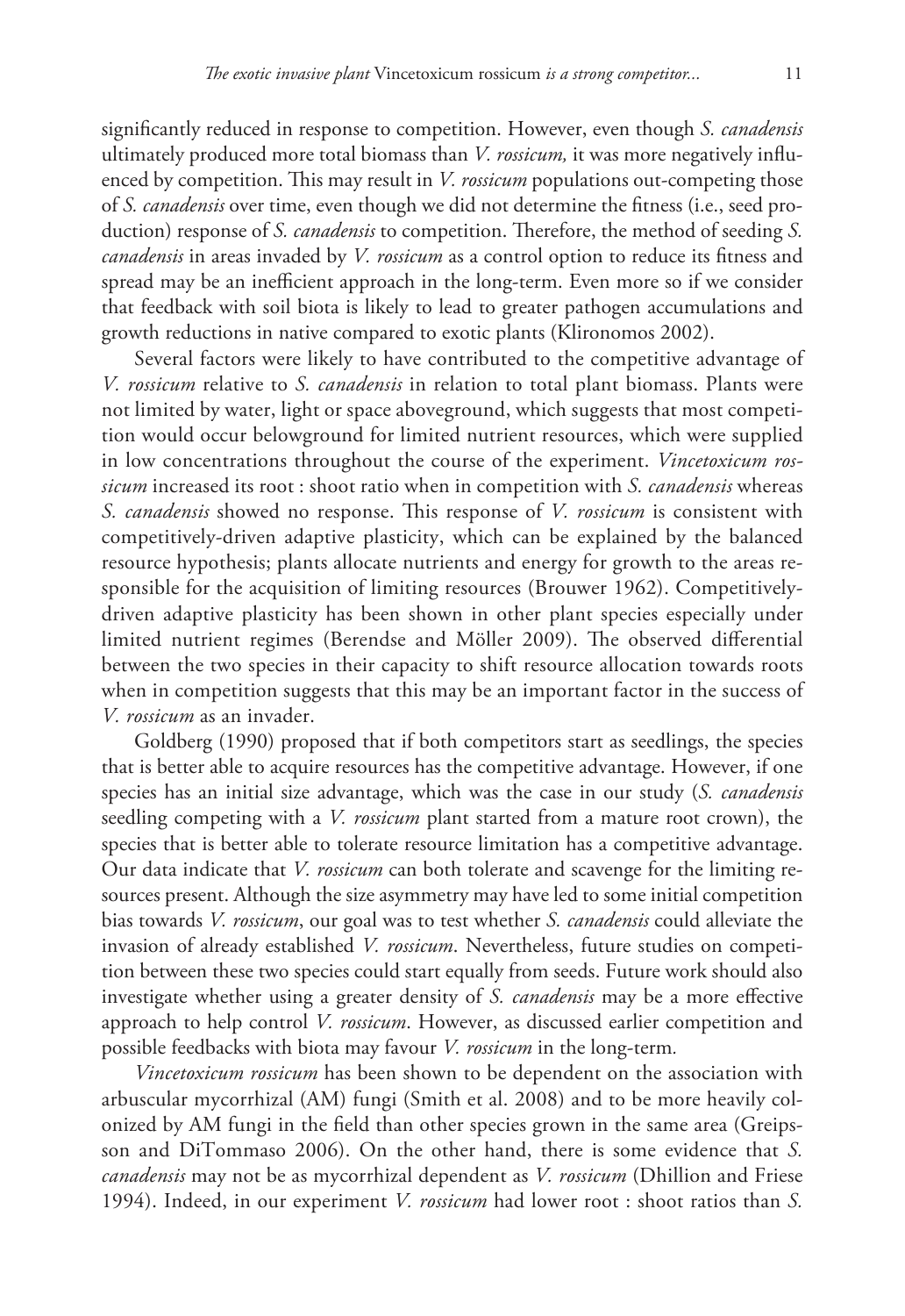significantly reduced in response to competition. However, even though *S. canadensis*  ultimately produced more total biomass than *V. rossicum,* it was more negatively influenced by competition. This may result in *V. rossicum* populations out-competing those of *S. canadensis* over time, even though we did not determine the fitness (i.e., seed production) response of *S. canadensis* to competition. Therefore, the method of seeding *S. canadensis* in areas invaded by *V. rossicum* as a control option to reduce its fitness and spread may be an inefficient approach in the long-term. Even more so if we consider that feedback with soil biota is likely to lead to greater pathogen accumulations and growth reductions in native compared to exotic plants (Klironomos 2002).

Several factors were likely to have contributed to the competitive advantage of *V. rossicum* relative to *S. canadensis* in relation to total plant biomass. Plants were not limited by water, light or space aboveground, which suggests that most competition would occur belowground for limited nutrient resources, which were supplied in low concentrations throughout the course of the experiment. *Vincetoxicum rossicum* increased its root : shoot ratio when in competition with *S. canadensis* whereas *S. canadensis* showed no response. This response of *V. rossicum* is consistent with competitively-driven adaptive plasticity, which can be explained by the balanced resource hypothesis; plants allocate nutrients and energy for growth to the areas responsible for the acquisition of limiting resources (Brouwer 1962). Competitivelydriven adaptive plasticity has been shown in other plant species especially under limited nutrient regimes (Berendse and Möller 2009). The observed differential between the two species in their capacity to shift resource allocation towards roots when in competition suggests that this may be an important factor in the success of *V. rossicum* as an invader.

Goldberg (1990) proposed that if both competitors start as seedlings, the species that is better able to acquire resources has the competitive advantage. However, if one species has an initial size advantage, which was the case in our study (*S. canadensis*  seedling competing with a *V. rossicum* plant started from a mature root crown), the species that is better able to tolerate resource limitation has a competitive advantage. Our data indicate that *V. rossicum* can both tolerate and scavenge for the limiting resources present. Although the size asymmetry may have led to some initial competition bias towards *V. rossicum*, our goal was to test whether *S. canadensis* could alleviate the invasion of already established *V. rossicum*. Nevertheless, future studies on competition between these two species could start equally from seeds. Future work should also investigate whether using a greater density of *S. canadensis* may be a more effective approach to help control *V. rossicum*. However, as discussed earlier competition and possible feedbacks with biota may favour *V. rossicum* in the long-term*.*

*Vincetoxicum rossicum* has been shown to be dependent on the association with arbuscular mycorrhizal (AM) fungi (Smith et al. 2008) and to be more heavily colonized by AM fungi in the field than other species grown in the same area (Greipsson and DiTommaso 2006). On the other hand, there is some evidence that *S. canadensis* may not be as mycorrhizal dependent as *V. rossicum* (Dhillion and Friese 1994). Indeed, in our experiment *V. rossicum* had lower root : shoot ratios than *S.*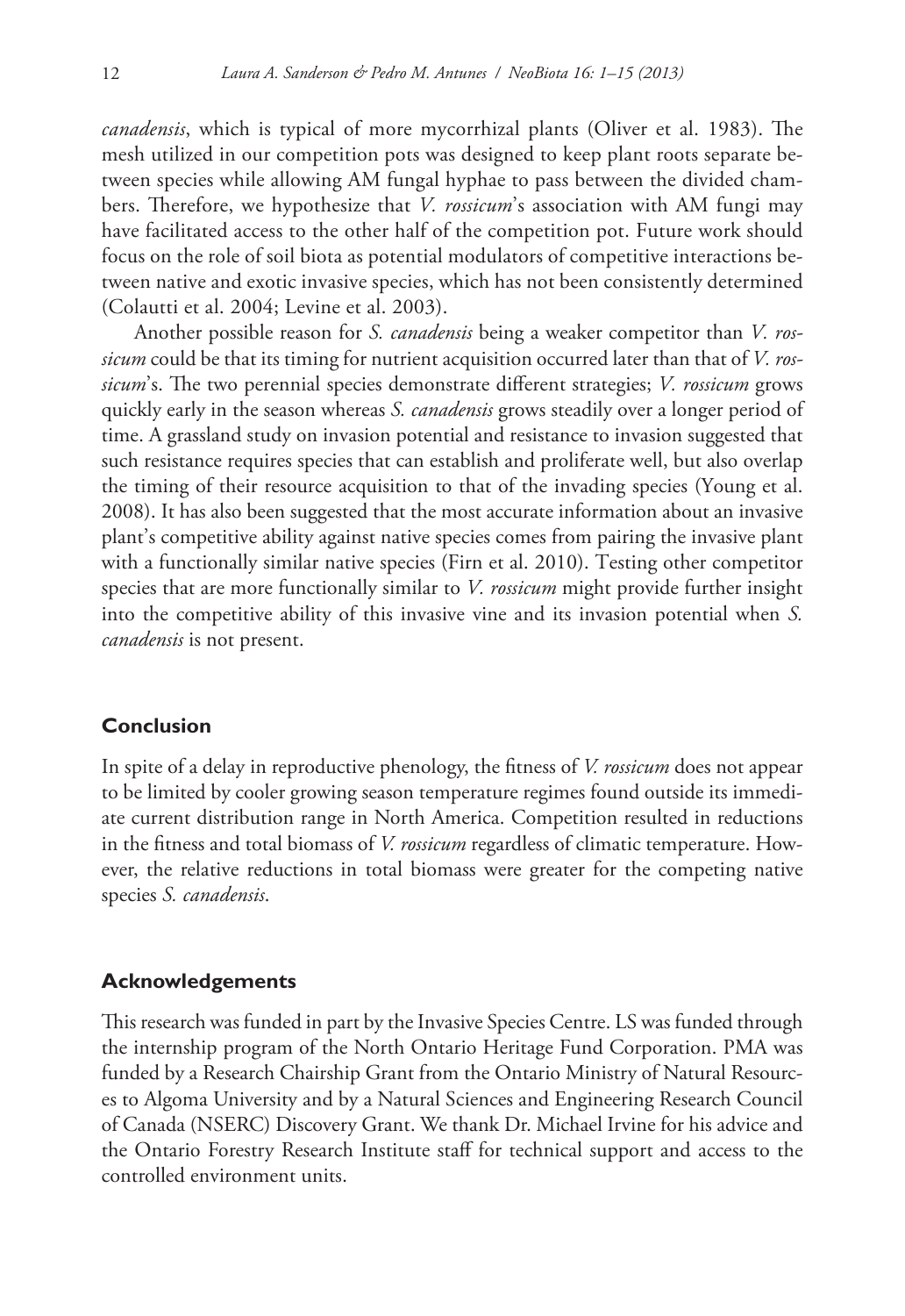*canadensis*, which is typical of more mycorrhizal plants (Oliver et al. 1983). The mesh utilized in our competition pots was designed to keep plant roots separate between species while allowing AM fungal hyphae to pass between the divided chambers. Therefore, we hypothesize that *V. rossicum*'s association with AM fungi may have facilitated access to the other half of the competition pot. Future work should focus on the role of soil biota as potential modulators of competitive interactions between native and exotic invasive species, which has not been consistently determined (Colautti et al. 2004; Levine et al. 2003).

Another possible reason for *S. canadensis* being a weaker competitor than *V. rossicum* could be that its timing for nutrient acquisition occurred later than that of *V. rossicum*'s. The two perennial species demonstrate different strategies; *V. rossicum* grows quickly early in the season whereas *S. canadensis* grows steadily over a longer period of time. A grassland study on invasion potential and resistance to invasion suggested that such resistance requires species that can establish and proliferate well, but also overlap the timing of their resource acquisition to that of the invading species (Young et al. 2008). It has also been suggested that the most accurate information about an invasive plant's competitive ability against native species comes from pairing the invasive plant with a functionally similar native species (Firn et al. 2010). Testing other competitor species that are more functionally similar to *V. rossicum* might provide further insight into the competitive ability of this invasive vine and its invasion potential when *S. canadensis* is not present.

# **Conclusion**

In spite of a delay in reproductive phenology, the fitness of *V. rossicum* does not appear to be limited by cooler growing season temperature regimes found outside its immediate current distribution range in North America. Competition resulted in reductions in the fitness and total biomass of *V. rossicum* regardless of climatic temperature. However, the relative reductions in total biomass were greater for the competing native species *S. canadensis*.

## **Acknowledgements**

This research was funded in part by the Invasive Species Centre. LS was funded through the internship program of the North Ontario Heritage Fund Corporation. PMA was funded by a Research Chairship Grant from the Ontario Ministry of Natural Resources to Algoma University and by a Natural Sciences and Engineering Research Council of Canada (NSERC) Discovery Grant. We thank Dr. Michael Irvine for his advice and the Ontario Forestry Research Institute staff for technical support and access to the controlled environment units.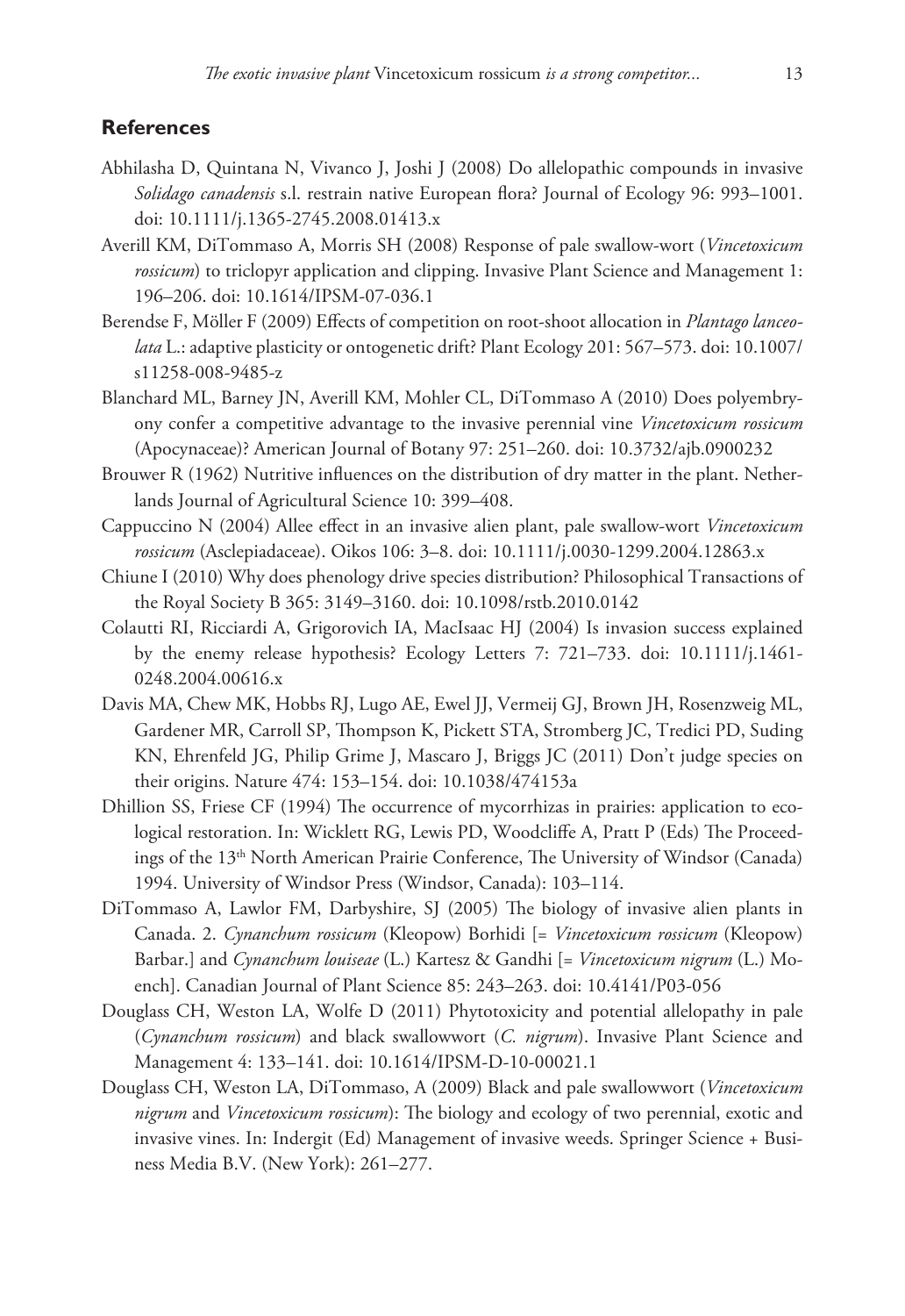## **References**

- Abhilasha D, Quintana N, Vivanco J, Joshi J (2008) Do allelopathic compounds in invasive *Solidago canadensis* s.l. restrain native European flora? Journal of Ecology 96: 993–1001. [doi: 10.1111/j.1365-2745.2008.01413.x](http://dx.doi.org/10.1111/j.1365-2745.2008.01413)
- Averill KM, DiTommaso A, Morris SH (2008) Response of pale swallow-wort (*Vincetoxicum rossicum*) to triclopyr application and clipping. Invasive Plant Science and Management 1: 196–206. [doi: 10.1614/IPSM-07-036.1](http://dx.doi.org/10.1614/IPSM)
- Berendse F, Möller F (2009) Effects of competition on root-shoot allocation in *Plantago lanceolata* L.: adaptive plasticity or ontogenetic drift? Plant Ecology 201: 567–573. [doi: 10.1007/](http://dx.doi.org/10.1007/s11258) [s11258-008-9485-z](http://dx.doi.org/10.1007/s11258)
- Blanchard ML, Barney JN, Averill KM, Mohler CL, DiTommaso A (2010) Does polyembryony confer a competitive advantage to the invasive perennial vine *Vincetoxicum rossicum* (Apocynaceae)? American Journal of Botany 97: 251–260. [doi: 10.3732/ajb.0900232](http://dx.doi.org/10.3732/ajb.0900232)
- Brouwer R (1962) Nutritive influences on the distribution of dry matter in the plant. Netherlands Journal of Agricultural Science 10: 399–408.
- Cappuccino N (2004) Allee effect in an invasive alien plant, pale swallow-wort *Vincetoxicum rossicum* (Asclepiadaceae). Oikos 106: 3–8. [doi: 10.1111/j.0030-1299.2004.12863.x](http://dx.doi.org/10.1111/j.0030-1299.2004.12863)
- Chiune I (2010) Why does phenology drive species distribution? Philosophical Transactions of the Royal Society B 365: 3149–3160. [doi: 10.1098/rstb.2010.0142](http://dx.doi.org/10.1098/rstb.2010.0142)
- Colautti RI, Ricciardi A, Grigorovich IA, MacIsaac HJ (2004) Is invasion success explained by the enemy release hypothesis? Ecology Letters 7: 721–733. [doi: 10.1111/j.1461-](http://dx.doi.org/10.1111/j.1461-0248.2004.00616) [0248.2004.00616.x](http://dx.doi.org/10.1111/j.1461-0248.2004.00616)
- Davis MA, Chew MK, Hobbs RJ, Lugo AE, Ewel JJ, Vermeij GJ, Brown JH, Rosenzweig ML, Gardener MR, Carroll SP, Thompson K, Pickett STA, Stromberg JC, Tredici PD, Suding KN, Ehrenfeld JG, Philip Grime J, Mascaro J, Briggs JC (2011) Don't judge species on their origins. Nature 474: 153–154. [doi: 10.1038/474153a](http://dx.doi.org/10.1038/474153a)
- Dhillion SS, Friese CF (1994) The occurrence of mycorrhizas in prairies: application to ecological restoration. In: Wicklett RG, Lewis PD, Woodcliffe A, Pratt P (Eds) The Proceedings of the 13th North American Prairie Conference, The University of Windsor (Canada) 1994. University of Windsor Press (Windsor, Canada): 103–114.
- DiTommaso A, Lawlor FM, Darbyshire, SJ (2005) The biology of invasive alien plants in Canada. 2. *Cynanchum rossicum* (Kleopow) Borhidi [= *Vincetoxicum rossicum* (Kleopow) Barbar.] and *Cynanchum louiseae* (L.) Kartesz & Gandhi [= *Vincetoxicum nigrum* (L.) Moench]. Canadian Journal of Plant Science 85: 243–263. [doi: 10.4141/P03-056](http://dx.doi.org/10.4141/P03)
- Douglass CH, Weston LA, Wolfe D (2011) Phytotoxicity and potential allelopathy in pale (*Cynanchum rossicum*) and black swallowwort (*C. nigrum*). Invasive Plant Science and Management 4: 133–141. [doi: 10.1614/IPSM-D-10-00021.1](http://dx.doi.org/10.1614/IPSM)
- Douglass CH, Weston LA, DiTommaso, A (2009) Black and pale swallowwort (*Vincetoxicum nigrum* and *Vincetoxicum rossicum*): The biology and ecology of two perennial, exotic and invasive vines. In: Indergit (Ed) Management of invasive weeds. Springer Science + Business Media B.V. (New York): 261–277.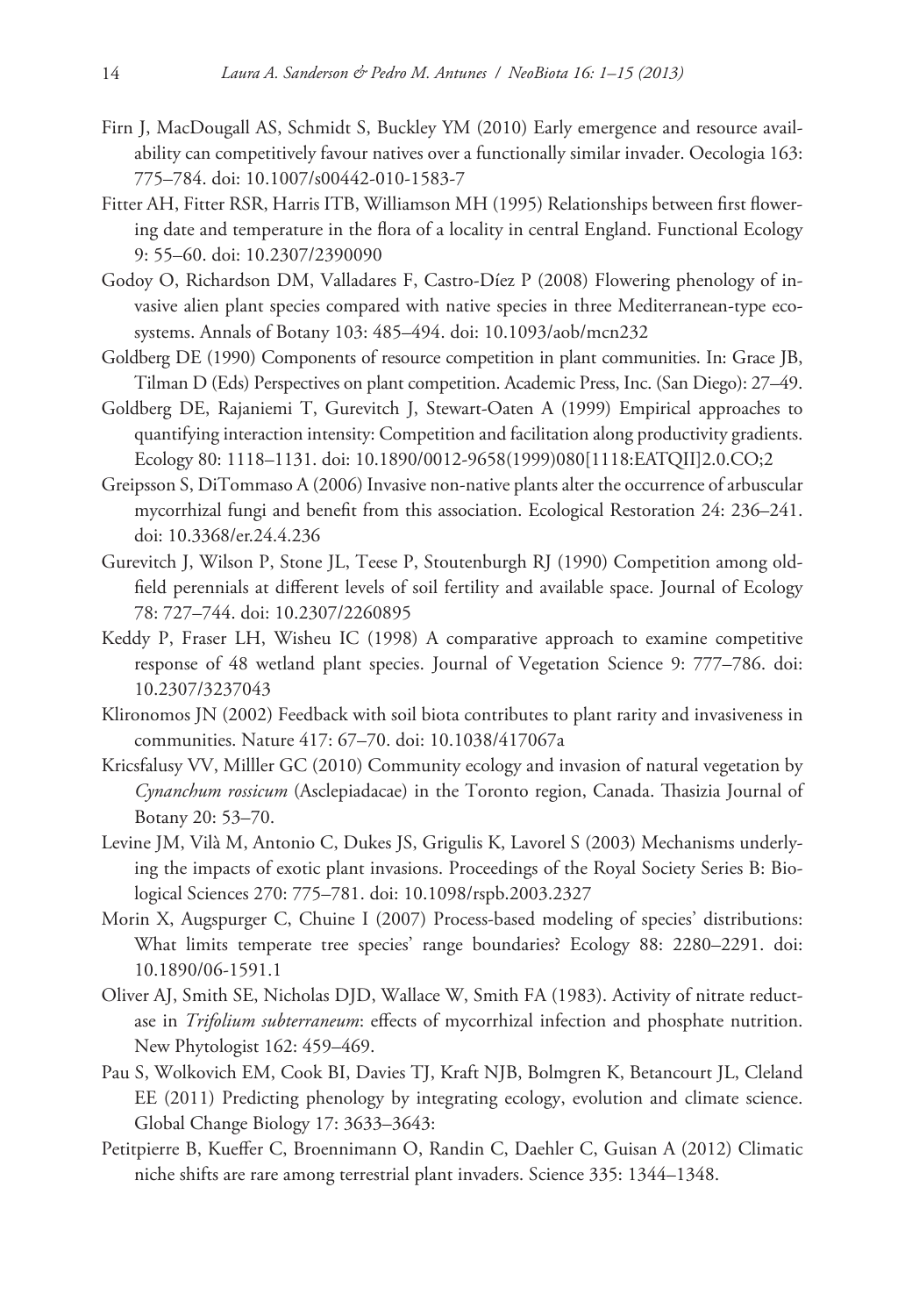- Firn J, MacDougall AS, Schmidt S, Buckley YM (2010) Early emergence and resource availability can competitively favour natives over a functionally similar invader. Oecologia 163: 775–784. [doi: 10.1007/s00442-010-1583-7](http://dx.doi.org/10.1007/s00442)
- Fitter AH, Fitter RSR, Harris ITB, Williamson MH (1995) Relationships between first flowering date and temperature in the flora of a locality in central England. Functional Ecology 9: 55–60. [doi: 10.2307/2390090](http://dx.doi.org/10.2307/2390090)
- Godoy O, Richardson DM, Valladares F, Castro-Díez P (2008) Flowering phenology of invasive alien plant species compared with native species in three Mediterranean-type ecosystems. Annals of Botany 103: 485–494. [doi: 10.1093/aob/mcn232](http://dx.doi.org/10.1093/aob/mcn232)
- Goldberg DE (1990) Components of resource competition in plant communities. In: Grace JB, Tilman D (Eds) Perspectives on plant competition. Academic Press, Inc. (San Diego): 27–49.
- Goldberg DE, Rajaniemi T, Gurevitch J, Stewart-Oaten A (1999) Empirical approaches to quantifying interaction intensity: Competition and facilitation along productivity gradients. Ecology 80: 1118–1131. [doi: 10.1890/0012-9658\(1999\)080](http://dx.doi.org/10.1890/0012)[1118:EATQII]2.0.CO;2
- Greipsson S, DiTommaso A (2006) Invasive non-native plants alter the occurrence of arbuscular mycorrhizal fungi and benefit from this association. Ecological Restoration 24: 236–241. [doi: 10.3368/er.24.4.236](http://dx.doi.org/10.3368/er.24.4.236)
- Gurevitch J, Wilson P, Stone JL, Teese P, Stoutenburgh RJ (1990) Competition among oldfield perennials at different levels of soil fertility and available space. Journal of Ecology 78: 727–744. [doi: 10.2307/2260895](http://dx.doi.org/10.2307/2260895)
- Keddy P, Fraser LH, Wisheu IC (1998) A comparative approach to examine competitive response of 48 wetland plant species. Journal of Vegetation Science 9: 777–786. [doi:](http://dx.doi.org/10.2307/3237043) [10.2307/3237043](http://dx.doi.org/10.2307/3237043)
- Klironomos JN (2002) Feedback with soil biota contributes to plant rarity and invasiveness in communities. Nature 417: 67–70. [doi: 10.1038/417067a](http://dx.doi.org/10.1038/417067a)
- Kricsfalusy VV, Milller GC (2010) Community ecology and invasion of natural vegetation by *Cynanchum rossicum* (Asclepiadacae) in the Toronto region, Canada. Thasizia Journal of Botany 20: 53–70.
- Levine JM, Vilà M, Antonio C, Dukes JS, Grigulis K, Lavorel S (2003) Mechanisms underlying the impacts of exotic plant invasions. Proceedings of the Royal Society Series B: Biological Sciences 270: 775–781. [doi: 10.1098/rspb.2003.2327](http://dx.doi.org/10.1098/rspb.2003.2327)
- Morin X, Augspurger C, Chuine I (2007) Process-based modeling of species' distributions: What limits temperate tree species' range boundaries? Ecology 88: 2280–2291. [doi:](http://dx.doi.org/10.1890/06) [10.1890/06-1591.1](http://dx.doi.org/10.1890/06)
- Oliver AJ, Smith SE, Nicholas DJD, Wallace W, Smith FA (1983). Activity of nitrate reductase in *Trifolium subterraneum*: effects of mycorrhizal infection and phosphate nutrition. New Phytologist 162: 459–469.
- Pau S, Wolkovich EM, Cook BI, Davies TJ, Kraft NJB, Bolmgren K, Betancourt JL, Cleland EE (2011) Predicting phenology by integrating ecology, evolution and climate science. Global Change Biology 17: 3633–3643:
- Petitpierre B, Kueffer C, Broennimann O, Randin C, Daehler C, Guisan A (2012) Climatic niche shifts are rare among terrestrial plant invaders. Science 335: 1344–1348.